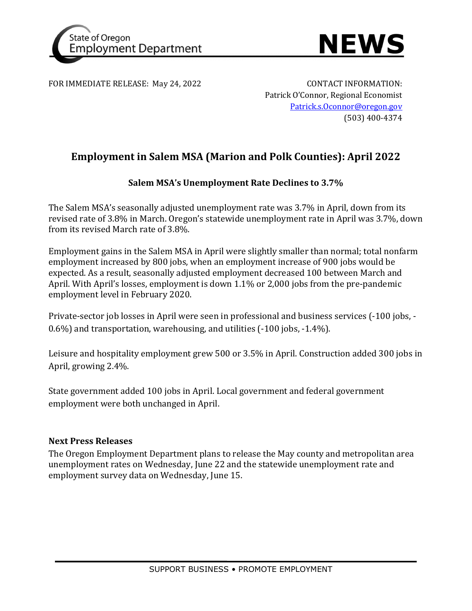



FOR IMMEDIATE RELEASE: May 24, 2022 CONTACT INFORMATION:

Patrick O'Connor, Regional Economist [Patrick.s.Oconnor@oregon.gov](mailto:Patrick.s.Oconnor@oregon.gov) (503) 400-4374

# **Employment in Salem MSA (Marion and Polk Counties): April 2022**

## **Salem MSA's Unemployment Rate Declines to 3.7%**

The Salem MSA's seasonally adjusted unemployment rate was 3.7% in April, down from its revised rate of 3.8% in March. Oregon's statewide unemployment rate in April was 3.7%, down from its revised March rate of 3.8%.

Employment gains in the Salem MSA in April were slightly smaller than normal; total nonfarm employment increased by 800 jobs, when an employment increase of 900 jobs would be expected. As a result, seasonally adjusted employment decreased 100 between March and April. With April's losses, employment is down 1.1% or 2,000 jobs from the pre-pandemic employment level in February 2020.

Private-sector job losses in April were seen in professional and business services (-100 jobs, - 0.6%) and transportation, warehousing, and utilities (-100 jobs, -1.4%).

Leisure and hospitality employment grew 500 or 3.5% in April. Construction added 300 jobs in April, growing 2.4%.

State government added 100 jobs in April. Local government and federal government employment were both unchanged in April.

### **Next Press Releases**

The Oregon Employment Department plans to release the May county and metropolitan area unemployment rates on Wednesday, June 22 and the statewide unemployment rate and employment survey data on Wednesday, June 15.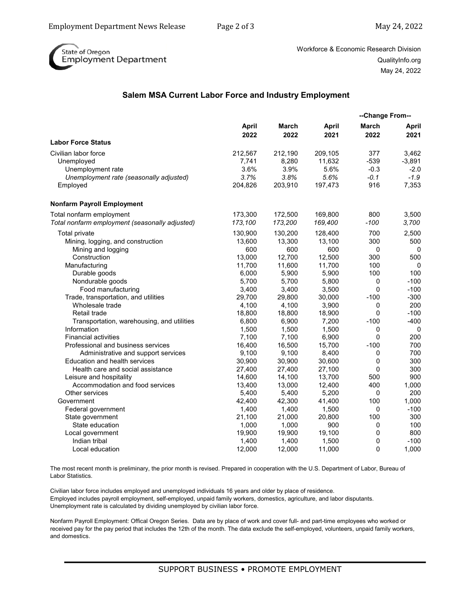

Workforce & Economic Research Division QualityInfo.org May 24, 2022

#### **Salem MSA Current Labor Force and Industry Employment**

|                                                |               |               |               | --Change From--      |               |
|------------------------------------------------|---------------|---------------|---------------|----------------------|---------------|
|                                                | April<br>2022 | March<br>2022 | April<br>2021 | <b>March</b><br>2022 | April<br>2021 |
| <b>Labor Force Status</b>                      |               |               |               |                      |               |
| Civilian labor force                           | 212,567       | 212,190       | 209,105       | 377                  | 3,462         |
| Unemployed                                     | 7.741         | 8,280         | 11.632        | $-539$               | $-3,891$      |
| Unemployment rate                              | 3.6%          | 3.9%          | 5.6%          | $-0.3$               | $-2.0$        |
| Unemployment rate (seasonally adjusted)        | 3.7%          | 3.8%          | 5.6%          | $-0.1$               | $-1.9$        |
| Employed                                       | 204,826       | 203,910       | 197,473       | 916                  | 7,353         |
| <b>Nonfarm Payroll Employment</b>              |               |               |               |                      |               |
| Total nonfarm employment                       | 173,300       | 172,500       | 169,800       | 800                  | 3,500         |
| Total nonfarm employment (seasonally adjusted) | 173,100       | 173,200       | 169,400       | $-100$               | 3,700         |
| Total private                                  | 130,900       | 130,200       | 128,400       | 700                  | 2,500         |
| Mining, logging, and construction              | 13,600        | 13,300        | 13,100        | 300                  | 500           |
| Mining and logging                             | 600           | 600           | 600           | $\mathbf 0$          | $\mathbf 0$   |
| Construction                                   | 13,000        | 12.700        | 12.500        | 300                  | 500           |
| Manufacturing                                  | 11,700        | 11,600        | 11,700        | 100                  | 0             |
| Durable goods                                  | 6,000         | 5,900         | 5,900         | 100                  | 100           |
| Nondurable goods                               | 5,700         | 5,700         | 5,800         | 0                    | $-100$        |
| Food manufacturing                             | 3,400         | 3,400         | 3,500         | $\mathbf 0$          | $-100$        |
| Trade, transportation, and utilities           | 29,700        | 29,800        | 30,000        | $-100$               | $-300$        |
| Wholesale trade                                | 4,100         | 4,100         | 3,900         | 0                    | 200           |
| Retail trade                                   | 18,800        | 18,800        | 18,900        | 0                    | $-100$        |
| Transportation, warehousing, and utilities     | 6,800         | 6,900         | 7.200         | $-100$               | $-400$        |
| Information                                    | 1,500         | 1,500         | 1,500         | 0                    | $\mathbf 0$   |
| <b>Financial activities</b>                    | 7,100         | 7,100         | 6,900         | 0                    | 200           |
| Professional and business services             | 16,400        | 16,500        | 15,700        | $-100$               | 700           |
| Administrative and support services            | 9,100         | 9,100         | 8,400         | 0                    | 700           |
| Education and health services                  | 30,900        | 30,900        | 30,600        | $\mathbf 0$          | 300           |
| Health care and social assistance              | 27,400        | 27,400        | 27,100        | 0                    | 300           |
| Leisure and hospitality                        | 14,600        | 14,100        | 13,700        | 500                  | 900           |
| Accommodation and food services                | 13,400        | 13,000        | 12,400        | 400                  | 1,000         |
| Other services                                 | 5,400         | 5,400         | 5,200         | 0                    | 200           |
| Government                                     | 42,400        | 42,300        | 41,400        | 100                  | 1,000         |
| Federal government                             | 1,400         | 1,400         | 1,500         | $\mathbf 0$          | $-100$        |
| State government                               | 21,100        | 21,000        | 20,800        | 100                  | 300           |
| State education                                | 1,000         | 1,000         | 900           | 0                    | 100           |
| Local government                               | 19,900        | 19,900        | 19,100        | 0                    | 800           |
| Indian tribal                                  | 1,400         | 1,400         | 1,500         | 0                    | $-100$        |
| Local education                                | 12,000        | 12,000        | 11,000        | 0                    | 1,000         |

The most recent month is preliminary, the prior month is revised. Prepared in cooperation with the U.S. Department of Labor, Bureau of Labor Statistics.

Civilian labor force includes employed and unemployed individuals 16 years and older by place of residence. Employed includes payroll employment, self-employed, unpaid family workers, domestics, agriculture, and labor disputants. Unemployment rate is calculated by dividing unemployed by civilian labor force.

Nonfarm Payroll Employment: Offical Oregon Series. Data are by place of work and cover full- and part-time employees who worked or received pay for the pay period that includes the 12th of the month. The data exclude the self-employed, volunteers, unpaid family workers, and domestics.